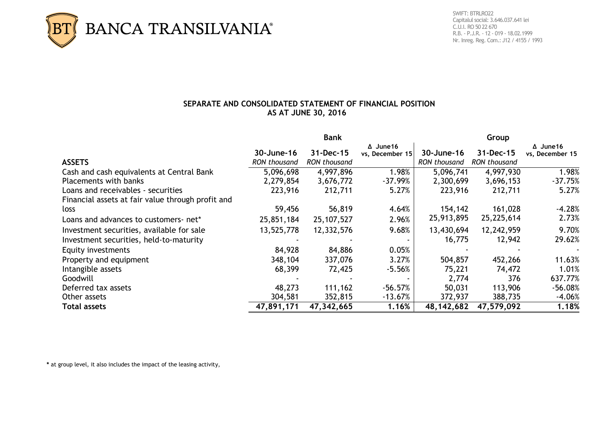

## **SEPARATE AND CONSOLIDATED STATEMENT OF FINANCIAL POSITION AS AT JUNE 30, 2016**

|                                                   | <b>Bank</b>         |                     |                                     | Group               |                     |                                     |  |
|---------------------------------------------------|---------------------|---------------------|-------------------------------------|---------------------|---------------------|-------------------------------------|--|
|                                                   | 30-June-16          | $31 - Dec-15$       | $\Delta$ June 16<br>vs, December 15 | 30-June-16          | 31-Dec-15           | $\Delta$ June 16<br>vs, December 15 |  |
| <b>ASSETS</b>                                     | <b>RON</b> thousand | <b>RON</b> thousand |                                     | <b>RON</b> thousand | <b>RON</b> thousand |                                     |  |
| Cash and cash equivalents at Central Bank         | 5,096,698           | 4,997,896           | $1.98\%$                            | 5,096,741           | 4,997,930           | 1.98%                               |  |
| Placements with banks                             | 2,279,854           | 3,676,772           | $-37.99%$                           | 2,300,699           | 3,696,153           | $-37.75%$                           |  |
| Loans and receivables - securities                | 223,916             | 212,711             | 5.27%                               | 223,916             | 212,711             | 5.27%                               |  |
| Financial assets at fair value through profit and |                     |                     |                                     |                     |                     |                                     |  |
| loss                                              | 59,456              | 56,819              | 4.64%                               | 154,142             | 161,028             | $-4.28%$                            |  |
| Loans and advances to customers- net*             | 25,851,184          | 25, 107, 527        | 2.96%                               | 25,913,895          | 25,225,614          | 2.73%                               |  |
| Investment securities, available for sale         | 13,525,778          | 12,332,576          | 9.68%                               | 13,430,694          | 12,242,959          | 9.70%                               |  |
| Investment securities, held-to-maturity           |                     |                     |                                     | 16,775              | 12,942              | 29.62%                              |  |
| Equity investments                                | 84,928              | 84,886              | 0.05%                               |                     |                     |                                     |  |
| Property and equipment                            | 348,104             | 337,076             | 3.27%                               | 504,857             | 452,266             | 11.63%                              |  |
| Intangible assets                                 | 68,399              | 72,425              | $-5.56%$                            | 75,221              | 74,472              | 1.01%                               |  |
| Goodwill                                          |                     |                     |                                     | 2,774               | 376                 | 637.77%                             |  |
| Deferred tax assets                               | 48,273              | 111,162             | $-56.57%$                           | 50,031              | 113,906             | $-56.08%$                           |  |
| Other assets                                      | 304,581             | 352,815             | $-13.67%$                           | 372,937             | 388,735             | $-4.06%$                            |  |
| <b>Total assets</b>                               | 47,891,171          | 47,342,665          | 1.16%                               | 48, 142, 682        | 47,579,092          | 1.18%                               |  |

**\*** at group level, it also includes the impact of the leasing activity,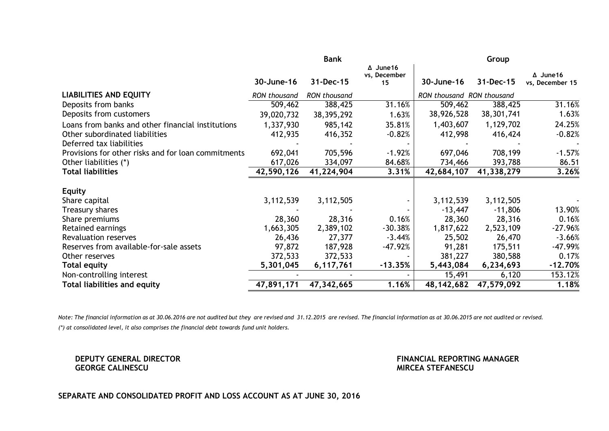|                                                     | <b>Bank</b>         |                     |                                        | Group                     |            |                                     |  |
|-----------------------------------------------------|---------------------|---------------------|----------------------------------------|---------------------------|------------|-------------------------------------|--|
|                                                     | 30-June-16          | 31-Dec-15           | $\Delta$ June 16<br>vs, December<br>15 | 30-June-16                | 31-Dec-15  | $\Delta$ June 16<br>vs, December 15 |  |
| <b>LIABILITIES AND EQUITY</b>                       | <b>RON</b> thousand | <b>RON</b> thousand |                                        | RON thousand RON thousand |            |                                     |  |
| Deposits from banks                                 | 509,462             | 388,425             | 31.16%                                 | 509,462                   | 388,425    | 31.16%                              |  |
| Deposits from customers                             | 39,020,732          | 38, 395, 292        | 1.63%                                  | 38,926,528                | 38,301,741 | 1.63%                               |  |
| Loans from banks and other financial institutions   | 1,337,930           | 985,142             | 35.81%                                 | 1,403,607                 | 1,129,702  | 24.25%                              |  |
| Other subordinated liabilities                      | 412,935             | 416,352             | $-0.82%$                               | 412,998                   | 416,424    | $-0.82%$                            |  |
| Deferred tax liabilities                            |                     |                     |                                        |                           |            |                                     |  |
| Provisions for other risks and for loan commitments | 692,041             | 705,596             | $-1.92%$                               | 697,046                   | 708,199    | $-1.57%$                            |  |
| Other liabilities (*)                               | 617,026             | 334,097             | 84.68%                                 | 734,466                   | 393,788    | 86.51                               |  |
| <b>Total liabilities</b>                            | 42,590,126          | 41,224,904          | 3.31%                                  | 42,684,107                | 41,338,279 | 3.26%                               |  |
| <b>Equity</b>                                       |                     |                     |                                        |                           |            |                                     |  |
| Share capital                                       | 3,112,539           | 3,112,505           |                                        | 3,112,539                 | 3,112,505  |                                     |  |
| Treasury shares                                     |                     |                     |                                        | $-13,447$                 | $-11,806$  | 13.90%                              |  |
| Share premiums                                      | 28,360              | 28,316              | 0.16%                                  | 28,360                    | 28,316     | 0.16%                               |  |
| Retained earnings                                   | 1,663,305           | 2,389,102           | $-30.38%$                              | 1,817,622                 | 2,523,109  | $-27.96%$                           |  |
| <b>Revaluation reserves</b>                         | 26,436              | 27,377              | $-3.44%$                               | 25,502                    | 26,470     | $-3.66%$                            |  |
| Reserves from available-for-sale assets             | 97,872              | 187,928             | $-47.92%$                              | 91,281                    | 175,511    | $-47.99%$                           |  |
| Other reserves                                      | 372,533             | 372,533             | $\overline{\phantom{a}}$               | 381,227                   | 380,588    | 0.17%                               |  |
| <b>Total equity</b>                                 | 5,301,045           | 6,117,761           | $-13.35%$                              | 5,443,084                 | 6,234,693  | $-12.70%$                           |  |
| Non-controlling interest                            |                     |                     |                                        | 15,491                    | 6,120      | 153.12%                             |  |
| <b>Total liabilities and equity</b>                 | 47,891,171          | 47,342,665          | 1.16%                                  | 48, 142, 682              | 47,579,092 | 1.18%                               |  |

*Note: The financial information as at 30.06.2016 are not audited but they are revised and 31.12.2015 are revised. The financial information as at 30.06.2015 are not audited or revised. (\*) at consolidated level, it also comprises the financial debt towards fund unit holders.*

**DEPUTY GENERAL DIRECTOR CONSUMING A SERVERO CONSUMING A SERVERO CONSUMING A SERVERO CONSUMING A SERVERO CONSUMING A SERVERO CONSUMING A SERVERO CONSUMING A SERVERO CONSUMING A SERVERO CONSUMING A SERVERO CONSUMING A SERVE MIRCEA STEFANESCU** 

## **SEPARATE AND CONSOLIDATED PROFIT AND LOSS ACCOUNT AS AT JUNE 30, 2016**